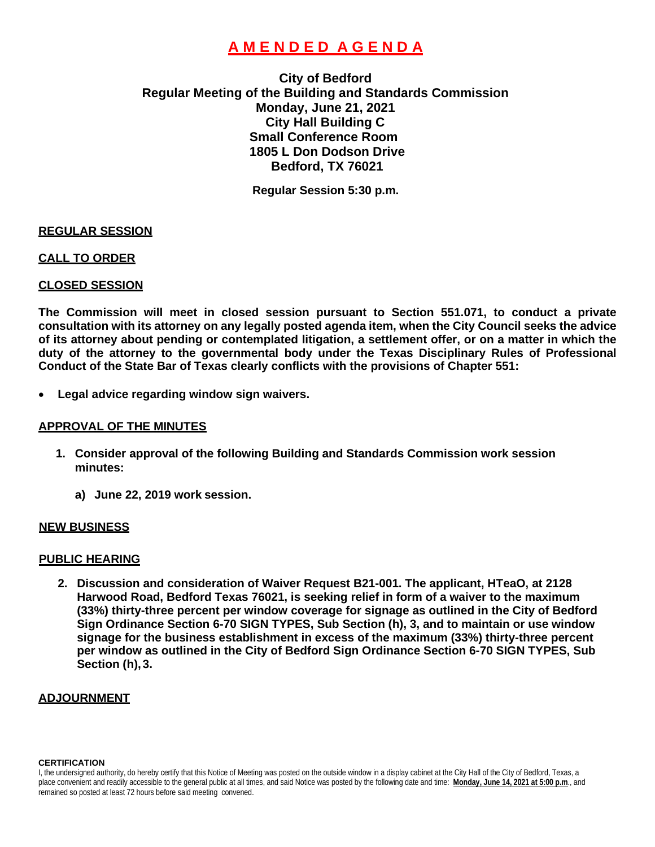# **A M E N D E D A G E N D A**

## **City of Bedford Regular Meeting of the Building and Standards Commission Monday, June 21, 2021 City Hall Building C Small Conference Room 1805 L Don Dodson Drive Bedford, TX 76021**

**Regular Session 5:30 p.m.**

#### **REGULAR SESSION**

#### **CALL TO ORDER**

#### **CLOSED SESSION**

**The Commission will meet in closed session pursuant to Section 551.071, to conduct a private consultation with its attorney on any legally posted agenda item, when the City Council seeks the advice of its attorney about pending or contemplated litigation, a settlement offer, or on a matter in which the duty of the attorney to the governmental body under the Texas Disciplinary Rules of Professional Conduct of the State Bar of Texas clearly conflicts with the provisions of Chapter 551:**

• **Legal advice regarding window sign waivers.** 

#### **APPROVAL OF THE MINUTES**

- **1. Consider approval of the following Building and Standards Commission work session minutes:**
	- **a) June 22, 2019 work session.**

#### **NEW BUSINESS**

### **PUBLIC HEARING**

**2. Discussion and consideration of Waiver Request B21-001. The applicant, HTeaO, at 2128 Harwood Road, Bedford Texas 76021, is seeking relief in form of a waiver to the maximum (33%) thirty-three percent per window coverage for signage as outlined in the City of Bedford Sign Ordinance Section 6-70 SIGN TYPES, Sub Section (h), 3, and to maintain or use window signage for the business establishment in excess of the maximum (33%) thirty-three percent per window as outlined in the City of Bedford Sign Ordinance Section 6-70 SIGN TYPES, Sub Section (h),3.**

#### **ADJOURNMENT**

**CERTIFICATION**

I, the undersigned authority, do hereby certify that this Notice of Meeting was posted on the outside window in a display cabinet at the City Hall of the City of Bedford, Texas, a place convenient and readily accessible to the general public at all times, and said Notice was posted by the following date and time: **Monday, June 14, 2021 at 5:00 p.m**., and remained so posted at least 72 hours before said meeting convened.